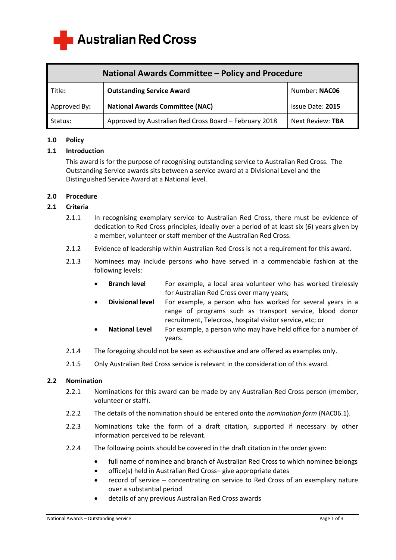

| National Awards Committee - Policy and Procedure |                                                        |                  |
|--------------------------------------------------|--------------------------------------------------------|------------------|
| Title:                                           | <b>Outstanding Service Award</b>                       | Number: NAC06    |
| Approved By:                                     | <b>National Awards Committee (NAC)</b>                 | Issue Date: 2015 |
| Status:                                          | Approved by Australian Red Cross Board - February 2018 | Next Review: TBA |

#### **1.0 Policy**

## **1.1 Introduction**

This award is for the purpose of recognising outstanding service to Australian Red Cross. The Outstanding Service awards sits between a service award at a Divisional Level and the Distinguished Service Award at a National level.

## **2.0 Procedure**

## **2.1 Criteria**

- 2.1.1 In recognising exemplary service to Australian Red Cross, there must be evidence of dedication to Red Cross principles, ideally over a period of at least six (6) years given by a member, volunteer or staff member of the Australian Red Cross.
- 2.1.2 Evidence of leadership within Australian Red Cross is not a requirement for this award.
- 2.1.3 Nominees may include persons who have served in a commendable fashion at the following levels:
	- **Branch level** For example, a local area volunteer who has worked tirelessly for Australian Red Cross over many years;
	- **Divisional level** For example, a person who has worked for several years in a range of programs such as transport service, blood donor recruitment, Telecross, hospital visitor service, etc; or
	- **National Level** For example, a person who may have held office for a number of years.
- 2.1.4 The foregoing should not be seen as exhaustive and are offered as examples only.
- 2.1.5 Only Australian Red Cross service is relevant in the consideration of this award.

#### **2.2 Nomination**

- 2.2.1 Nominations for this award can be made by any Australian Red Cross person (member, volunteer or staff).
- 2.2.2 The details of the nomination should be entered onto the *nomination form* (NAC06.1).
- 2.2.3 Nominations take the form of a draft citation, supported if necessary by other information perceived to be relevant.
- 2.2.4 The following points should be covered in the draft citation in the order given:
	- full name of nominee and branch of Australian Red Cross to which nominee belongs
	- office(s) held in Australian Red Cross– give appropriate dates
	- record of service concentrating on service to Red Cross of an exemplary nature over a substantial period
	- details of any previous Australian Red Cross awards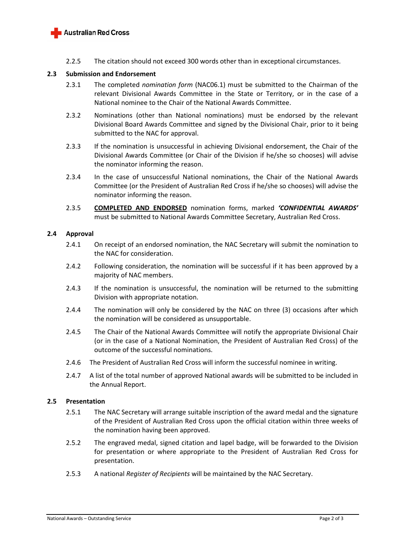

2.2.5 The citation should not exceed 300 words other than in exceptional circumstances.

## **2.3 Submission and Endorsement**

- 2.3.1 The completed *nomination form* (NAC06.1) must be submitted to the Chairman of the relevant Divisional Awards Committee in the State or Territory, or in the case of a National nominee to the Chair of the National Awards Committee.
- 2.3.2 Nominations (other than National nominations) must be endorsed by the relevant Divisional Board Awards Committee and signed by the Divisional Chair, prior to it being submitted to the NAC for approval.
- 2.3.3 If the nomination is unsuccessful in achieving Divisional endorsement, the Chair of the Divisional Awards Committee (or Chair of the Division if he/she so chooses) will advise the nominator informing the reason.
- 2.3.4 In the case of unsuccessful National nominations, the Chair of the National Awards Committee (or the President of Australian Red Cross if he/she so chooses) will advise the nominator informing the reason.
- 2.3.5 **COMPLETED AND ENDORSED** nomination forms, marked *'CONFIDENTIAL AWARDS'* must be submitted to National Awards Committee Secretary, Australian Red Cross.

#### **2.4 Approval**

- 2.4.1 On receipt of an endorsed nomination, the NAC Secretary will submit the nomination to the NAC for consideration.
- 2.4.2 Following consideration, the nomination will be successful if it has been approved by a majority of NAC members.
- 2.4.3 If the nomination is unsuccessful, the nomination will be returned to the submitting Division with appropriate notation.
- 2.4.4 The nomination will only be considered by the NAC on three (3) occasions after which the nomination will be considered as unsupportable.
- 2.4.5 The Chair of the National Awards Committee will notify the appropriate Divisional Chair (or in the case of a National Nomination, the President of Australian Red Cross) of the outcome of the successful nominations.
- 2.4.6 The President of Australian Red Cross will inform the successful nominee in writing.
- 2.4.7 A list of the total number of approved National awards will be submitted to be included in the Annual Report.

#### **2.5 Presentation**

- 2.5.1 The NAC Secretary will arrange suitable inscription of the award medal and the signature of the President of Australian Red Cross upon the official citation within three weeks of the nomination having been approved.
- 2.5.2 The engraved medal, signed citation and lapel badge, will be forwarded to the Division for presentation or where appropriate to the President of Australian Red Cross for presentation.
- 2.5.3 A national *Register of Recipients* will be maintained by the NAC Secretary.